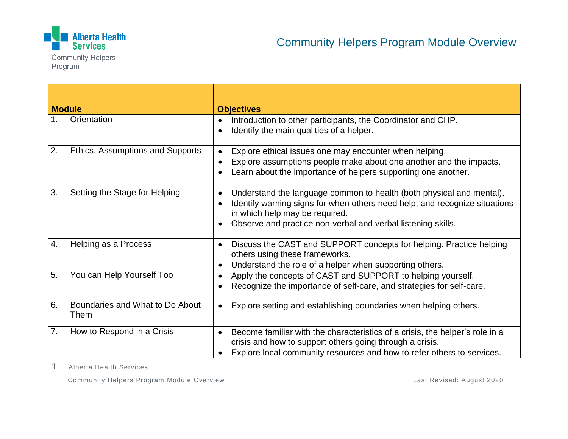

Program

**Module** *Objectives* 1. Orientation **I. Introduction to other participants, the Coordinator and CHP.** • Identify the main qualities of a helper. 2. Ethics, Assumptions and Supports  $\|\cdot\|$  Explore ethical issues one may encounter when helping. Explore assumptions people make about one another and the impacts. Learn about the importance of helpers supporting one another. 3. Setting the Stage for Helping  $\cdot$  le Understand the language common to health (both physical and mental). • Identify warning signs for when others need help, and recognize situations in which help may be required. Observe and practice non-verbal and verbal listening skills. 4. Helping as a Process  $\cdot$  biscuss the CAST and SUPPORT concepts for helping. Practice helping others using these frameworks. • Understand the role of a helper when supporting others. 5. You can Help Yourself Too  $\bullet$  Apply the concepts of CAST and SUPPORT to helping yourself. Recognize the importance of self-care, and strategies for self-care. 6. Boundaries and What to Do About Them Explore setting and establishing boundaries when helping others. 7. How to Respond in a Crisis  $\|\cdot\|$  Become familiar with the characteristics of a crisis, the helper's role in a crisis and how to support others going through a crisis. Explore local community resources and how to refer others to services.

1 Alberta Health Services

Community Helpers Program Module Overview Last Revised: August 2020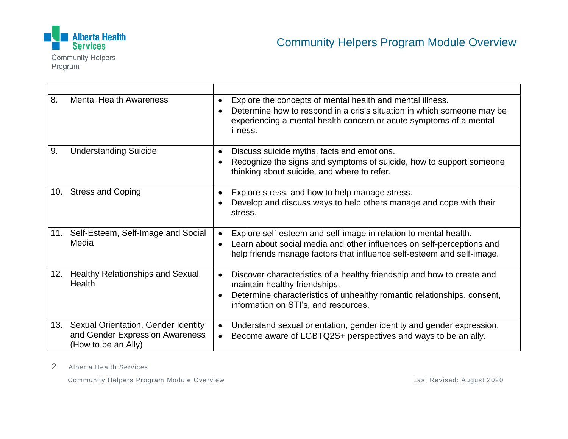

**Community Helpers** Program

| 8.  | <b>Mental Health Awareness</b>                                                                    | Explore the concepts of mental health and mental illness.<br>$\bullet$<br>Determine how to respond in a crisis situation in which someone may be<br>experiencing a mental health concern or acute symptoms of a mental<br>illness.                   |
|-----|---------------------------------------------------------------------------------------------------|------------------------------------------------------------------------------------------------------------------------------------------------------------------------------------------------------------------------------------------------------|
| 9.  | <b>Understanding Suicide</b>                                                                      | Discuss suicide myths, facts and emotions.<br>$\bullet$<br>Recognize the signs and symptoms of suicide, how to support someone<br>$\bullet$<br>thinking about suicide, and where to refer.                                                           |
| 10. | <b>Stress and Coping</b>                                                                          | Explore stress, and how to help manage stress.<br>٠<br>Develop and discuss ways to help others manage and cope with their<br>stress.                                                                                                                 |
|     | 11. Self-Esteem, Self-Image and Social<br>Media                                                   | Explore self-esteem and self-image in relation to mental health.<br>$\bullet$<br>Learn about social media and other influences on self-perceptions and<br>$\bullet$<br>help friends manage factors that influence self-esteem and self-image.        |
|     | 12. Healthy Relationships and Sexual<br>Health                                                    | Discover characteristics of a healthy friendship and how to create and<br>$\bullet$<br>maintain healthy friendships.<br>Determine characteristics of unhealthy romantic relationships, consent,<br>$\bullet$<br>information on STI's, and resources. |
|     | 13. Sexual Orientation, Gender Identity<br>and Gender Expression Awareness<br>(How to be an Ally) | Understand sexual orientation, gender identity and gender expression.<br>$\bullet$<br>Become aware of LGBTQ2S+ perspectives and ways to be an ally.                                                                                                  |

2 Alberta Health Services

Community Helpers Program Module Overview Last Revised: August 2020